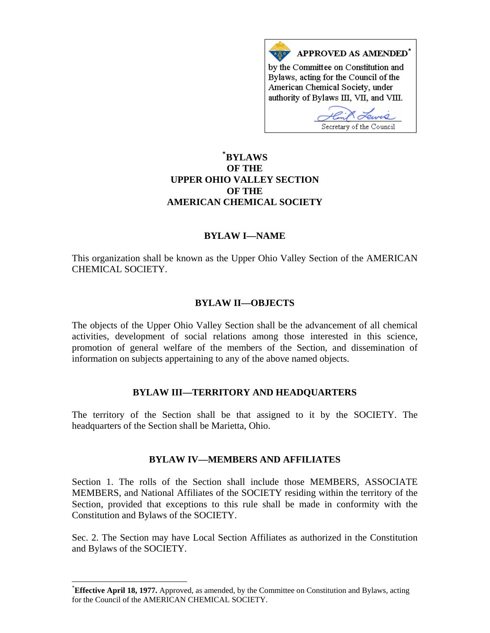

# **\* [BYLAWS](#page-0-0)  OF THE UPPER OHIO VALLEY SECTION OF THE AMERICAN CHEMICAL SOCIETY**

### **BYLAW I—NAME**

This organization shall be known as the Upper Ohio Valley Section of the AMERICAN CHEMICAL SOCIETY.

#### **BYLAW II—OBJECTS**

The objects of the Upper Ohio Valley Section shall be the advancement of all chemical activities, development of social relations among those interested in this science, promotion of general welfare of the members of the Section, and dissemination of information on subjects appertaining to any of the above named objects.

#### **BYLAW III—TERRITORY AND HEADQUARTERS**

The territory of the Section shall be that assigned to it by the SOCIETY. The headquarters of the Section shall be Marietta, Ohio.

#### **BYLAW IV—MEMBERS AND AFFILIATES**

Section 1. The rolls of the Section shall include those MEMBERS, ASSOCIATE MEMBERS, and National Affiliates of the SOCIETY residing within the territory of the Section, provided that exceptions to this rule shall be made in conformity with the Constitution and Bylaws of the SOCIETY.

Sec. 2. The Section may have Local Section Affiliates as authorized in the Constitution and Bylaws of the SOCIETY.

 $\overline{a}$ 

<span id="page-0-0"></span><sup>\*</sup> **Effective April 18, 1977.** Approved, as amended, by the Committee on Constitution and Bylaws, acting for the Council of the AMERICAN CHEMICAL SOCIETY.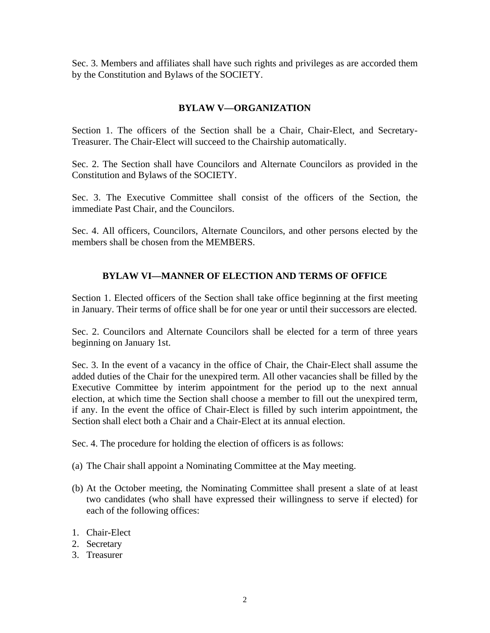Sec. 3. Members and affiliates shall have such rights and privileges as are accorded them by the Constitution and Bylaws of the SOCIETY.

### **BYLAW V—ORGANIZATION**

Section 1. The officers of the Section shall be a Chair, Chair-Elect, and Secretary-Treasurer. The Chair-Elect will succeed to the Chairship automatically.

Sec. 2. The Section shall have Councilors and Alternate Councilors as provided in the Constitution and Bylaws of the SOCIETY.

Sec. 3. The Executive Committee shall consist of the officers of the Section, the immediate Past Chair, and the Councilors.

Sec. 4. All officers, Councilors, Alternate Councilors, and other persons elected by the members shall be chosen from the MEMBERS.

# **BYLAW VI—MANNER OF ELECTION AND TERMS OF OFFICE**

Section 1. Elected officers of the Section shall take office beginning at the first meeting in January. Their terms of office shall be for one year or until their successors are elected.

Sec. 2. Councilors and Alternate Councilors shall be elected for a term of three years beginning on January 1st.

Sec. 3. In the event of a vacancy in the office of Chair, the Chair-Elect shall assume the added duties of the Chair for the unexpired term. All other vacancies shall be filled by the Executive Committee by interim appointment for the period up to the next annual election, at which time the Section shall choose a member to fill out the unexpired term, if any. In the event the office of Chair-Elect is filled by such interim appointment, the Section shall elect both a Chair and a Chair-Elect at its annual election.

Sec. 4. The procedure for holding the election of officers is as follows:

- (a) The Chair shall appoint a Nominating Committee at the May meeting.
- (b) At the October meeting, the Nominating Committee shall present a slate of at least two candidates (who shall have expressed their willingness to serve if elected) for each of the following offices:
- 1. Chair-Elect
- 2. Secretary
- 3. Treasurer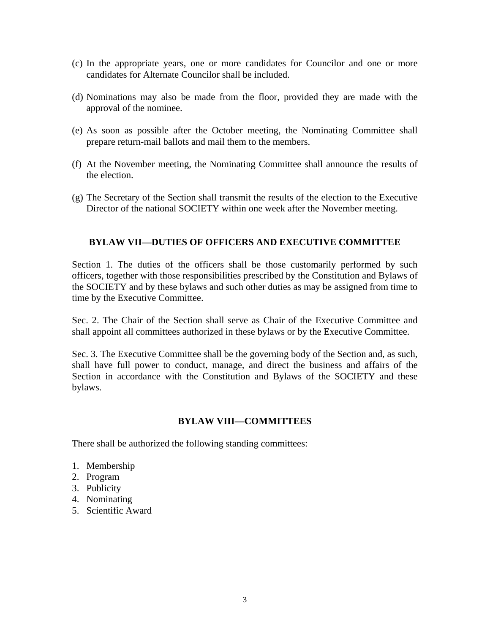- (c) In the appropriate years, one or more candidates for Councilor and one or more candidates for Alternate Councilor shall be included.
- (d) Nominations may also be made from the floor, provided they are made with the approval of the nominee.
- (e) As soon as possible after the October meeting, the Nominating Committee shall prepare return-mail ballots and mail them to the members.
- (f) At the November meeting, the Nominating Committee shall announce the results of the election.
- (g) The Secretary of the Section shall transmit the results of the election to the Executive Director of the national SOCIETY within one week after the November meeting.

### **BYLAW VII—DUTIES OF OFFICERS AND EXECUTIVE COMMITTEE**

Section 1. The duties of the officers shall be those customarily performed by such officers, together with those responsibilities prescribed by the Constitution and Bylaws of the SOCIETY and by these bylaws and such other duties as may be assigned from time to time by the Executive Committee.

Sec. 2. The Chair of the Section shall serve as Chair of the Executive Committee and shall appoint all committees authorized in these bylaws or by the Executive Committee.

Sec. 3. The Executive Committee shall be the governing body of the Section and, as such, shall have full power to conduct, manage, and direct the business and affairs of the Section in accordance with the Constitution and Bylaws of the SOCIETY and these bylaws.

### **BYLAW VIII—COMMITTEES**

There shall be authorized the following standing committees:

- 1. Membership
- 2. Program
- 3. Publicity
- 4. Nominating
- 5. Scientific Award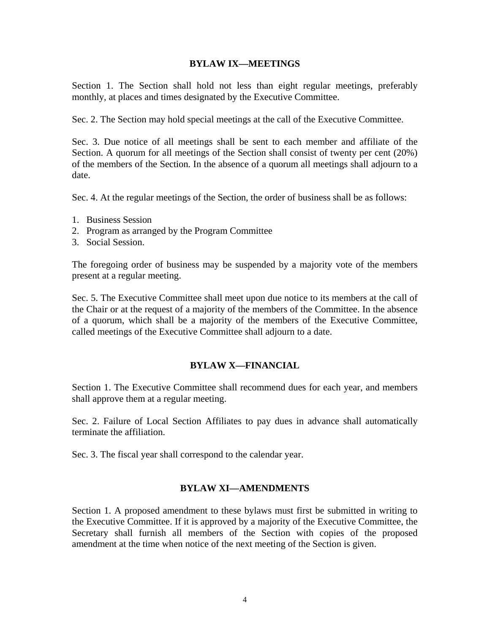#### **BYLAW IX—MEETINGS**

Section 1. The Section shall hold not less than eight regular meetings, preferably monthly, at places and times designated by the Executive Committee.

Sec. 2. The Section may hold special meetings at the call of the Executive Committee.

Sec. 3. Due notice of all meetings shall be sent to each member and affiliate of the Section. A quorum for all meetings of the Section shall consist of twenty per cent (20%) of the members of the Section. In the absence of a quorum all meetings shall adjourn to a date.

Sec. 4. At the regular meetings of the Section, the order of business shall be as follows:

- 1. Business Session
- 2. Program as arranged by the Program Committee
- 3. Social Session.

The foregoing order of business may be suspended by a majority vote of the members present at a regular meeting.

Sec. 5. The Executive Committee shall meet upon due notice to its members at the call of the Chair or at the request of a majority of the members of the Committee. In the absence of a quorum, which shall be a majority of the members of the Executive Committee, called meetings of the Executive Committee shall adjourn to a date.

### **BYLAW X—FINANCIAL**

Section 1. The Executive Committee shall recommend dues for each year, and members shall approve them at a regular meeting.

Sec. 2. Failure of Local Section Affiliates to pay dues in advance shall automatically terminate the affiliation.

Sec. 3. The fiscal year shall correspond to the calendar year.

#### **BYLAW XI—AMENDMENTS**

Section 1. A proposed amendment to these bylaws must first be submitted in writing to the Executive Committee. If it is approved by a majority of the Executive Committee, the Secretary shall furnish all members of the Section with copies of the proposed amendment at the time when notice of the next meeting of the Section is given.